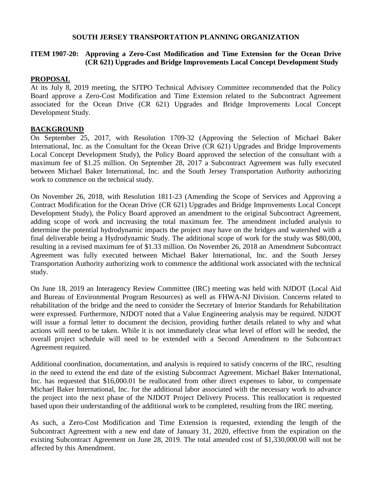# **SOUTH JERSEY TRANSPORTATION PLANNING ORGANIZATION**

# **ITEM 1907-20: Approving a Zero-Cost Modification and Time Extension for the Ocean Drive (CR 621) Upgrades and Bridge Improvements Local Concept Development Study**

# **PROPOSAL**

At its July 8, 2019 meeting, the SJTPO Technical Advisory Committee recommended that the Policy Board approve a Zero-Cost Modification and Time Extension related to the Subcontract Agreement associated for the Ocean Drive (CR 621) Upgrades and Bridge Improvements Local Concept Development Study.

# **BACKGROUND**

On September 25, 2017, with Resolution 1709-32 (Approving the Selection of Michael Baker International, Inc. as the Consultant for the Ocean Drive (CR 621) Upgrades and Bridge Improvements Local Concept Development Study), the Policy Board approved the selection of the consultant with a maximum fee of \$1.25 million. On September 28, 2017 a Subcontract Agreement was fully executed between Michael Baker International, Inc. and the South Jersey Transportation Authority authorizing work to commence on the technical study.

On November 26, 2018, with Resolution 1811-23 (Amending the Scope of Services and Approving a Contract Modification for the Ocean Drive (CR 621) Upgrades and Bridge Improvements Local Concept Development Study), the Policy Board approved an amendment to the original Subcontract Agreement, adding scope of work and increasing the total maximum fee. The amendment included analysis to determine the potential hydrodynamic impacts the project may have on the bridges and watershed with a final deliverable being a Hydrodynamic Study. The additional scope of work for the study was \$80,000, resulting in a revised maximum fee of \$1.33 million. On November 26, 2018 an Amendment Subcontract Agreement was fully executed between Michael Baker International, Inc. and the South Jersey Transportation Authority authorizing work to commence the additional work associated with the technical study.

On June 18, 2019 an Interagency Review Committee (IRC) meeting was held with NJDOT (Local Aid and Bureau of Environmental Program Resources) as well as FHWA-NJ Division. Concerns related to rehabilitation of the bridge and the need to consider the Secretary of Interior Standards for Rehabilitation were expressed. Furthermore, NJDOT noted that a Value Engineering analysis may be required. NJDOT will issue a formal letter to document the decision, providing further details related to why and what actions will need to be taken. While it is not immediately clear what level of effort will be needed, the overall project schedule will need to be extended with a Second Amendment to the Subcontract Agreement required.

Additional coordination, documentation, and analysis is required to satisfy concerns of the IRC, resulting in the need to extend the end date of the existing Subcontract Agreement. Michael Baker International, Inc. has requested that \$16,000.01 be reallocated from other direct expenses to labor, to compensate Michael Baker International, Inc. for the additional labor associated with the necessary work to advance the project into the next phase of the NJDOT Project Delivery Process. This reallocation is requested based upon their understanding of the additional work to be completed, resulting from the IRC meeting.

As such, a Zero-Cost Modification and Time Extension is requested, extending the length of the Subcontract Agreement with a new end date of January 31, 2020, effective from the expiration on the existing Subcontract Agreement on June 28, 2019. The total amended cost of \$1,330,000.00 will not be affected by this Amendment.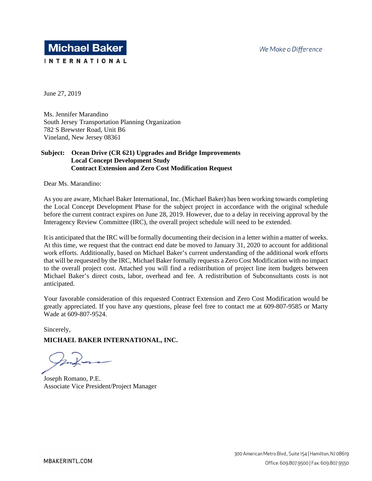

June 27, 2019

Ms. Jennifer Marandino South Jersey Transportation Planning Organization 782 S Brewster Road, Unit B6 Vineland, New Jersey 08361

### **Subject: Ocean Drive (CR 621) Upgrades and Bridge Improvements Local Concept Development Study Contract Extension and Zero Cost Modification Request**

Dear Ms. Marandino:

As you are aware, Michael Baker International, Inc. (Michael Baker) has been working towards completing the Local Concept Development Phase for the subject project in accordance with the original schedule before the current contract expires on June 28, 2019. However, due to a delay in receiving approval by the Interagency Review Committee (IRC), the overall project schedule will need to be extended.

It is anticipated that the IRC will be formally documenting their decision in a letter within a matter of weeks. At this time, we request that the contract end date be moved to January 31, 2020 to account for additional work efforts. Additionally, based on Michael Baker's current understanding of the additional work efforts that will be requested by the IRC, Michael Baker formally requests a Zero Cost Modification with no impact to the overall project cost. Attached you will find a redistribution of project line item budgets between Michael Baker's direct costs, labor, overhead and fee. A redistribution of Subconsultants costs is not anticipated.

Your favorable consideration of this requested Contract Extension and Zero Cost Modification would be greatly appreciated. If you have any questions, please feel free to contact me at 609-807-9585 or Marty Wade at 609-807-9524.

Sincerely,

### **MICHAEL BAKER INTERNATIONAL, INC.**

Joseph Romano, P.E. Associate Vice President/Project Manager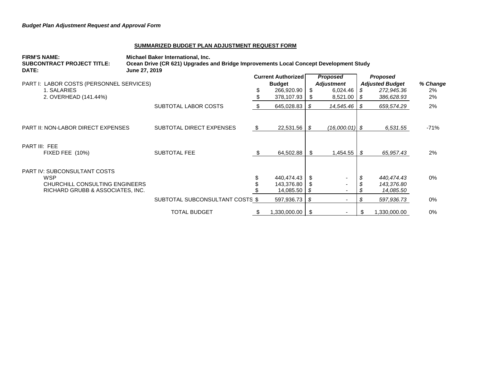#### **SUMMARIZED BUDGET PLAN ADJUSTMENT REQUEST FORM**

| <b>FIRM'S NAME:</b><br><b>SUBCONTRACT PROJECT TITLE:</b><br>DATE: | Michael Baker International, Inc.<br>Ocean Drive (CR 621) Upgrades and Bridge Improvements Local Concept Development Study<br>June 27, 2019 |                           |                         |                                      |                          |                                           |              |          |
|-------------------------------------------------------------------|---------------------------------------------------------------------------------------------------------------------------------------------|---------------------------|-------------------------|--------------------------------------|--------------------------|-------------------------------------------|--------------|----------|
|                                                                   |                                                                                                                                             | <b>Current Authorized</b> |                         | <b>Proposed</b><br><b>Adjustment</b> |                          | <b>Proposed</b><br><b>Adjusted Budget</b> |              | % Change |
| PART I: LABOR COSTS (PERSONNEL SERVICES)                          |                                                                                                                                             |                           | <b>Budget</b>           |                                      |                          |                                           |              |          |
| 1. SALARIES                                                       |                                                                                                                                             |                           | 266,920.90              | S.                                   | 6,024.46                 | S                                         | 272,945.36   | $2\%$    |
| 2. OVERHEAD (141.44%)                                             |                                                                                                                                             |                           | 378,107.93              | S                                    | 8,521.00                 | - S                                       | 386,628.93   | 2%       |
|                                                                   | SUBTOTAL LABOR COSTS                                                                                                                        | - \$                      | 645,028.83              | S                                    | 14,545.46                | - \$                                      | 659,574.29   | 2%       |
| <b>PART II: NON-LABOR DIRECT EXPENSES</b>                         | SUBTOTAL DIRECT EXPENSES                                                                                                                    | - S                       |                         |                                      | $(16,000.01)$ \$         |                                           | 6,531.55     | $-71%$   |
| <b>PART III: FEE</b>                                              |                                                                                                                                             |                           |                         |                                      |                          |                                           |              |          |
| FIXED FEE (10%)                                                   | SUBTOTAL FEE                                                                                                                                |                           | 64,502.88               | S                                    | 1,454.55                 | - \$                                      | 65,957.43    | 2%       |
| <b>PART IV: SUBCONSULTANT COSTS</b><br><b>WSP</b>                 |                                                                                                                                             |                           | 440,474.43              | S                                    | $\overline{\phantom{a}}$ | \$                                        | 440,474.43   | 0%       |
| CHURCHILL CONSULTING ENGINEERS                                    |                                                                                                                                             |                           | 143,376.80              |                                      |                          |                                           | 143,376.80   |          |
| RICHARD GRUBB & ASSOCIATES, INC.                                  |                                                                                                                                             |                           | 14,085.50               | S                                    |                          |                                           | 14,085.50    |          |
|                                                                   | SUBTOTAL SUBCONSULTANT COSTS \$                                                                                                             |                           | $597,936.73$ $\sqrt{$}$ |                                      | $\overline{\phantom{a}}$ | S                                         | 597,936.73   | $0\%$    |
|                                                                   | <b>TOTAL BUDGET</b>                                                                                                                         | \$                        | $1,330,000.00$ \ \$     |                                      | $\blacksquare$           | S                                         | 1,330,000.00 | 0%       |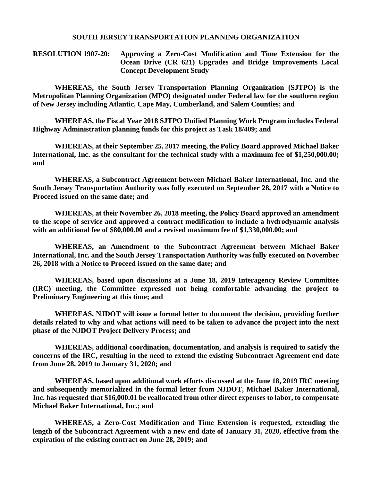### **SOUTH JERSEY TRANSPORTATION PLANNING ORGANIZATION**

**RESOLUTION 1907-20: Approving a Zero-Cost Modification and Time Extension for the Ocean Drive (CR 621) Upgrades and Bridge Improvements Local Concept Development Study**

**WHEREAS, the South Jersey Transportation Planning Organization (SJTPO) is the Metropolitan Planning Organization (MPO) designated under Federal law for the southern region of New Jersey including Atlantic, Cape May, Cumberland, and Salem Counties; and**

**WHEREAS, the Fiscal Year 2018 SJTPO Unified Planning Work Program includes Federal Highway Administration planning funds for this project as Task 18/409; and**

**WHEREAS, at their September 25, 2017 meeting, the Policy Board approved Michael Baker International, Inc. as the consultant for the technical study with a maximum fee of \$1,250,000.00; and**

**WHEREAS, a Subcontract Agreement between Michael Baker International, Inc. and the South Jersey Transportation Authority was fully executed on September 28, 2017 with a Notice to Proceed issued on the same date; and**

**WHEREAS, at their November 26, 2018 meeting, the Policy Board approved an amendment to the scope of service and approved a contract modification to include a hydrodynamic analysis with an additional fee of \$80,000.00 and a revised maximum fee of \$1,330,000.00; and**

**WHEREAS, an Amendment to the Subcontract Agreement between Michael Baker International, Inc. and the South Jersey Transportation Authority was fully executed on November 26, 2018 with a Notice to Proceed issued on the same date; and**

**WHEREAS, based upon discussions at a June 18, 2019 Interagency Review Committee (IRC) meeting, the Committee expressed not being comfortable advancing the project to Preliminary Engineering at this time; and**

**WHEREAS, NJDOT will issue a formal letter to document the decision, providing further details related to why and what actions will need to be taken to advance the project into the next phase of the NJDOT Project Delivery Process; and**

**WHEREAS, additional coordination, documentation, and analysis is required to satisfy the concerns of the IRC, resulting in the need to extend the existing Subcontract Agreement end date from June 28, 2019 to January 31, 2020; and**

**WHEREAS, based upon additional work efforts discussed at the June 18, 2019 IRC meeting and subsequently memorialized in the formal letter from NJDOT, Michael Baker International, Inc. has requested that \$16,000.01 be reallocated from other direct expenses to labor, to compensate Michael Baker International, Inc.; and**

**WHEREAS, a Zero-Cost Modification and Time Extension is requested, extending the length of the Subcontract Agreement with a new end date of January 31, 2020, effective from the expiration of the existing contract on June 28, 2019; and**